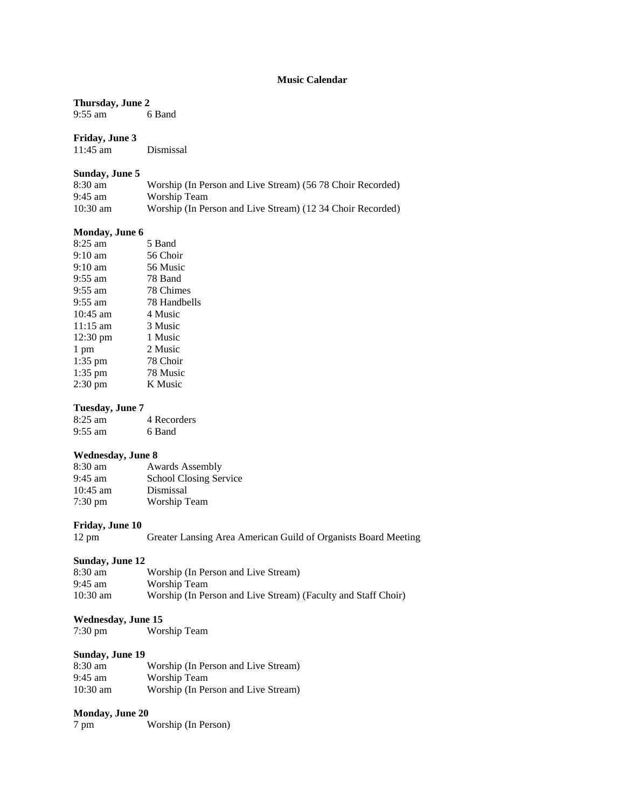## **Music Calendar**

**Thursday, June 2**<br>9:55 am 6 Band 9:55 am

#### **Friday, June 3**

11:45 am Dismissal

#### **Sunday, June 5**

| $8:30 \text{ am}$ | Worship (In Person and Live Stream) (56.78 Choir Recorded) |
|-------------------|------------------------------------------------------------|
| $9:45$ am         | Worship Team                                               |
| $10:30$ am        | Worship (In Person and Live Stream) (12.34 Choir Recorded) |

#### **Monday, June 6**

| 8:25 am            | 5 Band       |
|--------------------|--------------|
| $9:10 \text{ am}$  | 56 Choir     |
| $9:10 \text{ am}$  | 56 Music     |
| $9:55$ am          | 78 Band      |
| $9:55$ am          | 78 Chimes    |
| $9:55$ am          | 78 Handbells |
| $10:45$ am         | 4 Music      |
| $11:15 \text{ am}$ | 3 Music      |
| $12:30 \text{ pm}$ | 1 Music      |
| 1 pm               | 2 Music      |
| $1:35$ pm          | 78 Choir     |
| $1:35$ pm          | 78 Music     |
| $2:30 \text{ pm}$  | K Music      |
|                    |              |

#### **Tuesday, June 7**

8:25 am 4 Recorders 9:55 am 6 Band

#### **Wednesday, June 8**

| $8:30$ am         | <b>Awards Assembly</b>        |
|-------------------|-------------------------------|
| $9:45 \text{ am}$ | <b>School Closing Service</b> |
| $10:45$ am        | Dismissal                     |
| $7:30 \text{ pm}$ | Worship Team                  |

#### **Friday, June 10**

12 pm Greater Lansing Area American Guild of Organists Board Meeting

#### **Sunday, June 12**

| 8:30 am            | Worship (In Person and Live Stream)                           |
|--------------------|---------------------------------------------------------------|
| $9:45 \text{ am}$  | Worship Team                                                  |
| $10:30 \text{ am}$ | Worship (In Person and Live Stream) (Faculty and Staff Choir) |

#### **Wednesday, June 15**

| 7:30 pm | Worship Team |
|---------|--------------|
|         |              |

#### **Sunday, June 19**

| $8:30 \text{ am}$  | Worship (In Person and Live Stream) |
|--------------------|-------------------------------------|
| $9:45$ am          | Worship Team                        |
| $10:30 \text{ am}$ | Worship (In Person and Live Stream) |

### **Monday, June 20**

| 7 pm | Worship (In Person) |  |
|------|---------------------|--|
|      |                     |  |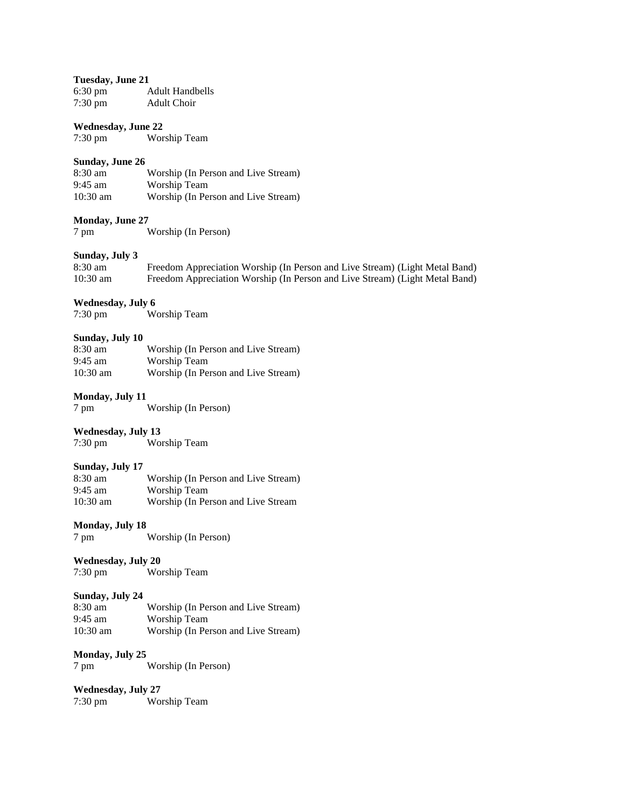### **Tuesday, June 21**

| $6:30 \text{ pm}$ | <b>Adult Handbells</b> |
|-------------------|------------------------|
| $7:30$ pm         | <b>Adult Choir</b>     |

### **Wednesday, June 22**

7:30 pm Worship Team

#### **Sunday, June 26**

| $8:30 \text{ am}$  | Worship (In Person and Live Stream) |
|--------------------|-------------------------------------|
| $9:45$ am          | Worship Team                        |
| $10:30 \text{ am}$ | Worship (In Person and Live Stream) |

### **Monday, June 27**

7 pm Worship (In Person)

## **Sunday, July 3**

| 8:30 am    | Freedom Appreciation Worship (In Person and Live Stream) (Light Metal Band) |
|------------|-----------------------------------------------------------------------------|
| $10:30$ am | Freedom Appreciation Worship (In Person and Live Stream) (Light Metal Band) |

# **Wednesday, July 6**<br>7:30 pm

Worship Team

### **Sunday, July 10**

| $8:30 \text{ am}$  | Worship (In Person and Live Stream) |
|--------------------|-------------------------------------|
| $9:45 \text{ am}$  | Worship Team                        |
| $10:30 \text{ am}$ | Worship (In Person and Live Stream) |

### **Monday, July 11**

7 pm Worship (In Person)

**Wednesday, July 13**<br>7:30 pm Wor Worship Team

#### **Sunday, July 17**

| $8:30 \text{ am}$  | Worship (In Person and Live Stream) |
|--------------------|-------------------------------------|
| $9:45$ am          | Worship Team                        |
| $10:30 \text{ am}$ | Worship (In Person and Live Stream  |

#### **Monday, July 18**

7 pm Worship (In Person)

# **Wednesday, July 20**

Worship Team

## **Sunday, July 24** 8:30 am

Worship (In Person and Live Stream) 9:45 am Worship Team 10:30 am Worship (In Person and Live Stream)

#### **Monday, July 25**

7 pm Worship (In Person)

**Wednesday, July 27**<br>7:30 pm Wo Worship Team